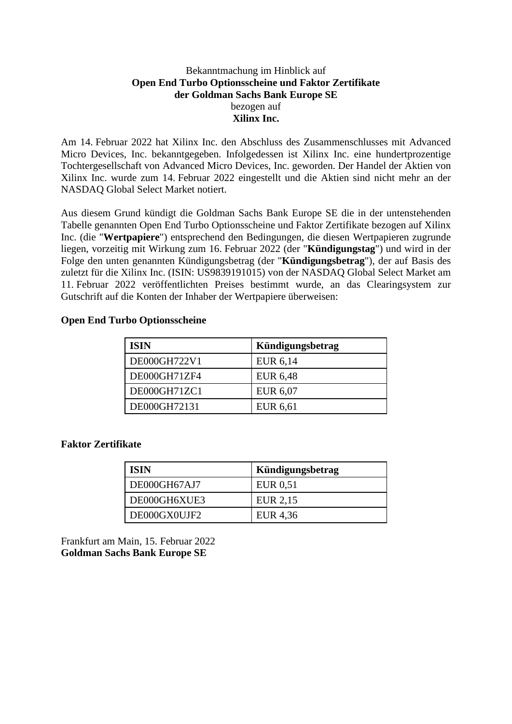### Bekanntmachung im Hinblick auf **Open End Turbo Optionsscheine und Faktor Zertifikate der Goldman Sachs Bank Europe SE** bezogen auf **Xilinx Inc.**

Am 14. Februar 2022 hat Xilinx Inc. den Abschluss des Zusammenschlusses mit Advanced Micro Devices, Inc. bekanntgegeben. Infolgedessen ist Xilinx Inc. eine hundertprozentige Tochtergesellschaft von Advanced Micro Devices, Inc. geworden. Der Handel der Aktien von Xilinx Inc. wurde zum 14. Februar 2022 eingestellt und die Aktien sind nicht mehr an der NASDAQ Global Select Market notiert.

Aus diesem Grund kündigt die Goldman Sachs Bank Europe SE die in der untenstehenden Tabelle genannten Open End Turbo Optionsscheine und Faktor Zertifikate bezogen auf Xilinx Inc. (die "**Wertpapiere**") entsprechend den Bedingungen, die diesen Wertpapieren zugrunde liegen, vorzeitig mit Wirkung zum 16. Februar 2022 (der "**Kündigungstag**") und wird in der Folge den unten genannten Kündigungsbetrag (der "**Kündigungsbetrag**"), der auf Basis des zuletzt für die Xilinx Inc. (ISIN: US9839191015) von der NASDAQ Global Select Market am 11. Februar 2022 veröffentlichten Preises bestimmt wurde, an das Clearingsystem zur Gutschrift auf die Konten der Inhaber der Wertpapiere überweisen:

#### **Open End Turbo Optionsscheine**

| <b>ISIN</b>  | Kündigungsbetrag |
|--------------|------------------|
| DE000GH722V1 | EUR 6,14         |
| DE000GH71ZF4 | EUR 6,48         |
| DE000GH71ZC1 | EUR 6,07         |
| DE000GH72131 | EUR 6,61         |

## **Faktor Zertifikate**

| <b>ISIN</b>  | Kündigungsbetrag |
|--------------|------------------|
| DE000GH67AJ7 | EUR 0.51         |
| DE000GH6XUE3 | EUR 2,15         |
| DE000GX0UJF2 | EUR 4,36         |

Frankfurt am Main, 15. Februar 2022 **Goldman Sachs Bank Europe SE**